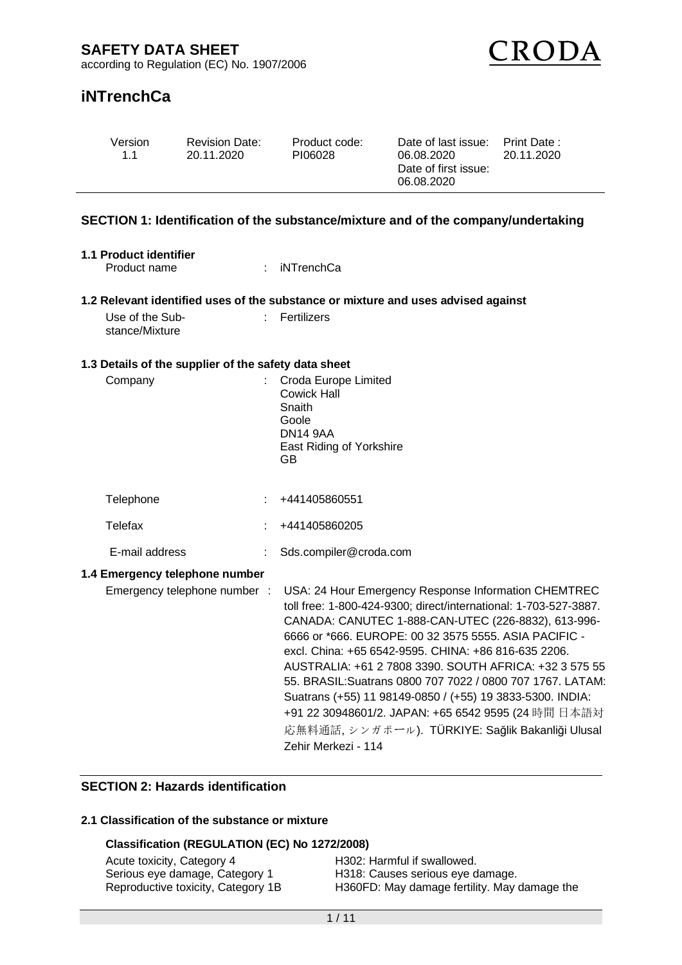

# **iNTrenchCa**

| Version | <b>Revision Date:</b> | Product code: | Date of last issue: Print Date:    | 20.11.2020 |
|---------|-----------------------|---------------|------------------------------------|------------|
| 11      | 20.11.2020            | PI06028       | 06.08.2020                         |            |
|         |                       |               | Date of first issue:<br>06.08.2020 |            |

## **SECTION 1: Identification of the substance/mixture and of the company/undertaking**

|                | 1.1 Product identifier |
|----------------|------------------------|
| Deadust agreed |                        |

Product name : iNTrenchCa

## **1.2 Relevant identified uses of the substance or mixture and uses advised against**

| Use of the Sub- | $\therefore$ Fertilizers |
|-----------------|--------------------------|
| stance/Mixture  |                          |

### **1.3 Details of the supplier of the safety data sheet**

| Company                        | Croda Europe Limited<br>Cowick Hall<br>Snaith<br>Goole<br><b>DN14 9AA</b><br>East Riding of Yorkshire<br>GB.                                                                                                                                                                                                                                                                                                                                                                                                                                                                                                           |
|--------------------------------|------------------------------------------------------------------------------------------------------------------------------------------------------------------------------------------------------------------------------------------------------------------------------------------------------------------------------------------------------------------------------------------------------------------------------------------------------------------------------------------------------------------------------------------------------------------------------------------------------------------------|
| Telephone                      | +441405860551                                                                                                                                                                                                                                                                                                                                                                                                                                                                                                                                                                                                          |
| Telefax                        | +441405860205                                                                                                                                                                                                                                                                                                                                                                                                                                                                                                                                                                                                          |
| E-mail address                 | Sds.compiler@croda.com                                                                                                                                                                                                                                                                                                                                                                                                                                                                                                                                                                                                 |
| 1.4 Emergency telephone number |                                                                                                                                                                                                                                                                                                                                                                                                                                                                                                                                                                                                                        |
| Emergency telephone number :   | USA: 24 Hour Emergency Response Information CHEMTREC<br>toll free: 1-800-424-9300; direct/international: 1-703-527-3887.<br>CANADA: CANUTEC 1-888-CAN-UTEC (226-8832), 613-996-<br>6666 or *666. EUROPE: 00 32 3575 5555. ASIA PACIFIC -<br>excl. China: +65 6542-9595. CHINA: +86 816-635 2206.<br>AUSTRALIA: +61 2 7808 3390. SOUTH AFRICA: +32 3 575 55<br>55. BRASIL: Suatrans 0800 707 7022 / 0800 707 1767. LATAM:<br>Suatrans (+55) 11 98149-0850 / (+55) 19 3833-5300. INDIA:<br>+91 22 30948601/2. JAPAN: +65 6542 9595 (24 時間 日本語対<br>応無料通話,シンガポール). TÜRKIYE: Sağlik Bakanliği Ulusal<br>Zehir Merkezi - 114 |

# **SECTION 2: Hazards identification**

# **2.1 Classification of the substance or mixture**

#### **Classification (REGULATION (EC) No 1272/2008)**

| Acute toxicity, Category 4         | H302: Harmful if swallowed.                  |
|------------------------------------|----------------------------------------------|
| Serious eye damage, Category 1     | H318: Causes serious eye damage.             |
| Reproductive toxicity, Category 1B | H360FD: May damage fertility. May damage the |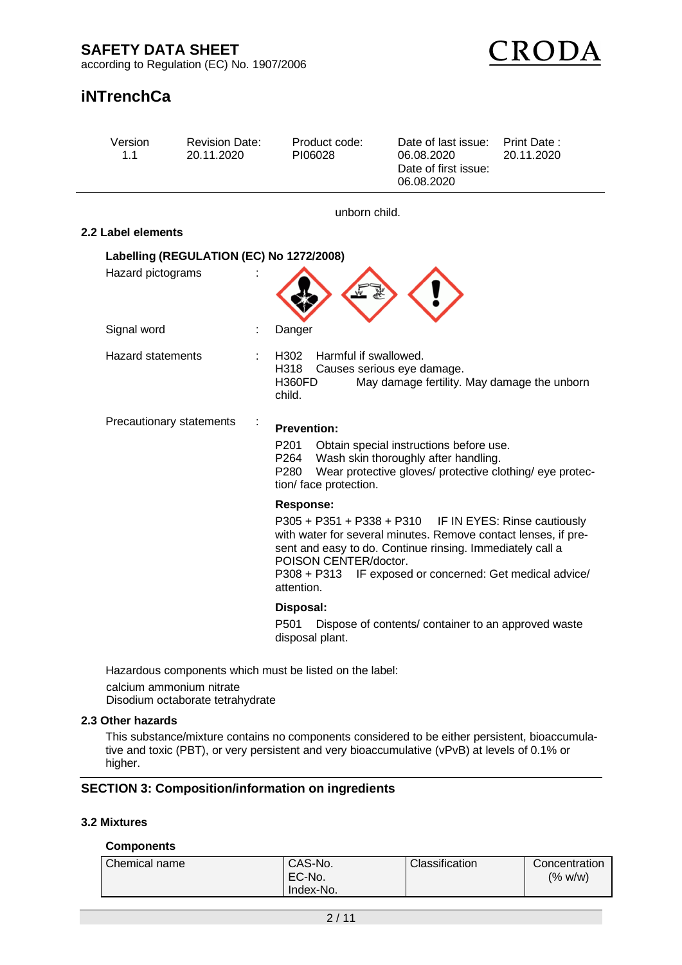

# **iNTrenchCa**

| Version<br>1.1           | <b>Revision Date:</b><br>20.11.2020      | Product code:<br>PI06028                                                         | Date of last issue:<br>06.08.2020<br>Date of first issue:<br>06.08.2020                                                                                                                                                               | Print Date:<br>20.11.2020 |
|--------------------------|------------------------------------------|----------------------------------------------------------------------------------|---------------------------------------------------------------------------------------------------------------------------------------------------------------------------------------------------------------------------------------|---------------------------|
|                          |                                          | unborn child.                                                                    |                                                                                                                                                                                                                                       |                           |
| 2.2 Label elements       |                                          |                                                                                  |                                                                                                                                                                                                                                       |                           |
|                          | Labelling (REGULATION (EC) No 1272/2008) |                                                                                  |                                                                                                                                                                                                                                       |                           |
| Hazard pictograms        |                                          |                                                                                  |                                                                                                                                                                                                                                       |                           |
| Signal word              |                                          | Danger                                                                           |                                                                                                                                                                                                                                       |                           |
| <b>Hazard statements</b> |                                          | Harmful if swallowed.<br>H302<br>H318<br><b>H360FD</b><br>child.                 | Causes serious eye damage.<br>May damage fertility. May damage the unborn                                                                                                                                                             |                           |
|                          | Precautionary statements                 | <b>Prevention:</b><br>P <sub>201</sub><br>P264<br>P280<br>tion/ face protection. | Obtain special instructions before use.<br>Wash skin thoroughly after handling.<br>Wear protective gloves/ protective clothing/ eye protec-                                                                                           |                           |
|                          |                                          | <b>Response:</b><br>POISON CENTER/doctor.<br>P308 + P313<br>attention.           | P305 + P351 + P338 + P310 IF IN EYES: Rinse cautiously<br>with water for several minutes. Remove contact lenses, if pre-<br>sent and easy to do. Continue rinsing. Immediately call a<br>IF exposed or concerned: Get medical advice/ |                           |
|                          |                                          | Disposal:<br>P <sub>501</sub><br>disposal plant.                                 | Dispose of contents/ container to an approved waste                                                                                                                                                                                   |                           |
|                          |                                          | Hazardous components which must be listed on the label:                          |                                                                                                                                                                                                                                       |                           |

calcium ammonium nitrate Disodium octaborate tetrahydrate

### **2.3 Other hazards**

This substance/mixture contains no components considered to be either persistent, bioaccumulative and toxic (PBT), or very persistent and very bioaccumulative (vPvB) at levels of 0.1% or higher.

# **SECTION 3: Composition/information on ingredients**

## **3.2 Mixtures**

#### **Components**

| Chemical name | CAS-No.<br>EC-No.<br>Index-No. | Classification | Concentration<br>(% w/w) |
|---------------|--------------------------------|----------------|--------------------------|
|---------------|--------------------------------|----------------|--------------------------|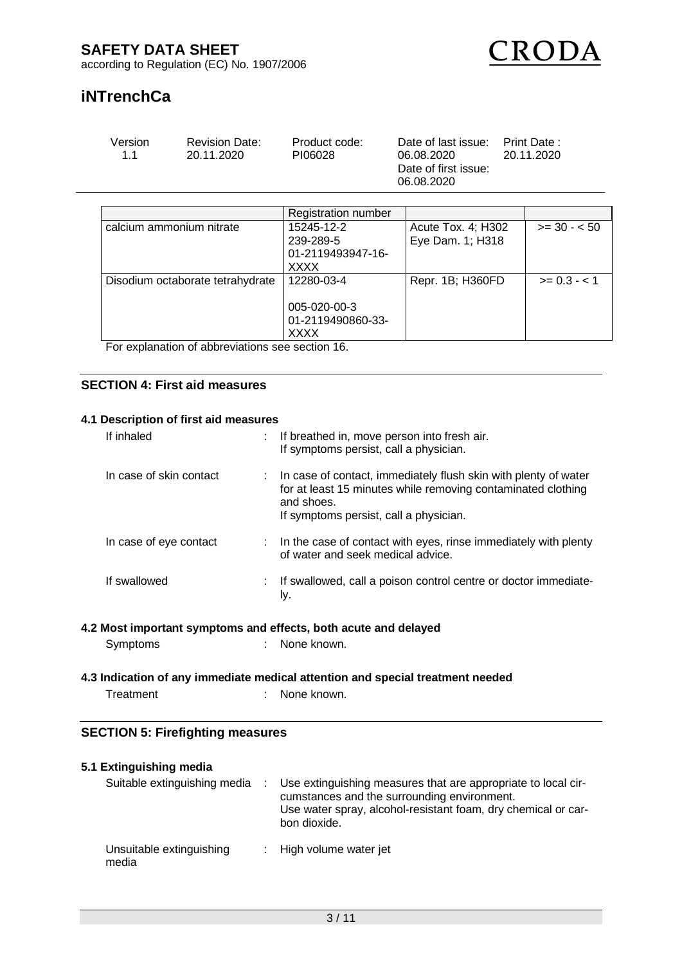RODA

according to Regulation (EC) No. 1907/2006

# **iNTrenchCa**

| Version<br><b>Revision Date:</b><br>Product code:<br>11<br>PI06028<br>20.11.2020 | Date of last issue:<br>06.08.2020<br>Date of first issue:<br>06.08.2020 | Print Date :<br>20.11.2020 |
|----------------------------------------------------------------------------------|-------------------------------------------------------------------------|----------------------------|
|----------------------------------------------------------------------------------|-------------------------------------------------------------------------|----------------------------|

|                                  | <b>Registration number</b>                                  |                                        |              |
|----------------------------------|-------------------------------------------------------------|----------------------------------------|--------------|
| calcium ammonium nitrate         | 15245-12-2<br>239-289-5<br>01-2119493947-16-<br><b>XXXX</b> | Acute Tox. 4; H302<br>Eye Dam. 1; H318 | $>= 30 - 50$ |
| Disodium octaborate tetrahydrate | 12280-03-4<br>005-020-00-3<br>01-2119490860-33-<br>XXXX     | Repr. 1B; H360FD                       | $>= 0.3 - 1$ |

For explanation of abbreviations see section 16.

## **SECTION 4: First aid measures**

#### **4.1 Description of first aid measures**

| If inhaled              | : If breathed in, move person into fresh air.<br>If symptoms persist, call a physician.                                                                                                   |
|-------------------------|-------------------------------------------------------------------------------------------------------------------------------------------------------------------------------------------|
| In case of skin contact | : In case of contact, immediately flush skin with plenty of water<br>for at least 15 minutes while removing contaminated clothing<br>and shoes.<br>If symptoms persist, call a physician. |
| In case of eye contact  | : In the case of contact with eyes, rinse immediately with plenty<br>of water and seek medical advice.                                                                                    |
| If swallowed            | : If swallowed, call a poison control centre or doctor immediate-<br>ly.                                                                                                                  |

#### **4.2 Most important symptoms and effects, both acute and delayed**

| Symptoms | None known. |
|----------|-------------|
|          |             |

### **4.3 Indication of any immediate medical attention and special treatment needed** Treatment : None known.

#### **SECTION 5: Firefighting measures**

| 5.1 Extinguishing media           |                                                                                                                                                                                               |
|-----------------------------------|-----------------------------------------------------------------------------------------------------------------------------------------------------------------------------------------------|
| Suitable extinguishing media      | Use extinguishing measures that are appropriate to local cir-<br>cumstances and the surrounding environment.<br>Use water spray, alcohol-resistant foam, dry chemical or car-<br>bon dioxide. |
| Unsuitable extinguishing<br>media | $\therefore$ High volume water jet                                                                                                                                                            |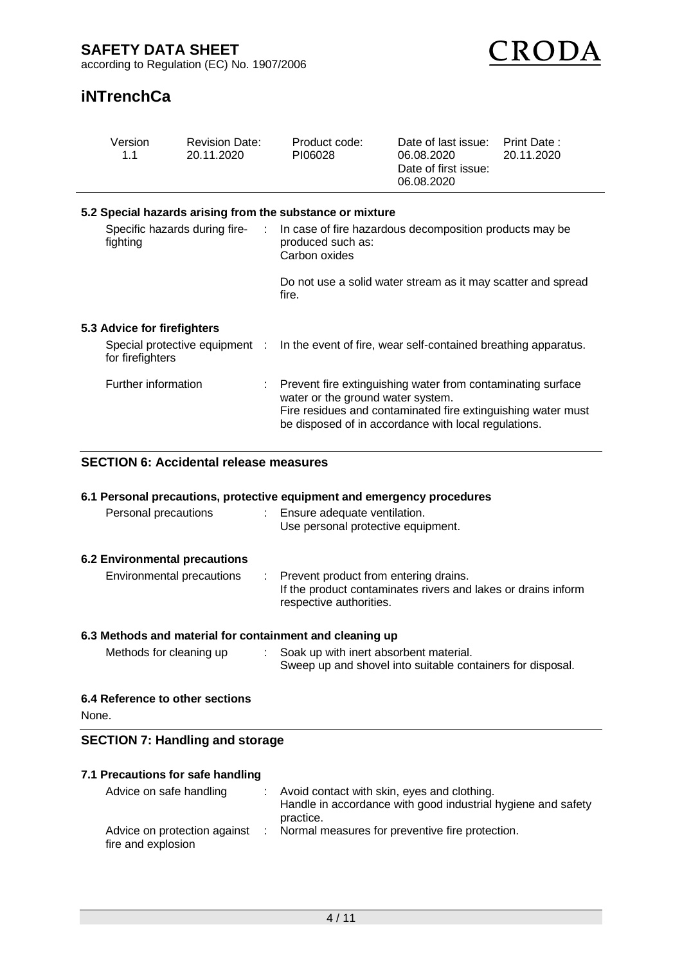

# **iNTrenchCa**

| Version<br>1.1                                         | <b>Revision Date:</b><br>20.11.2020           | Product code:<br>PI06028                                                                                                                                                                                                 | Date of last issue:<br>06.08.2020<br>Date of first issue:<br>06.08.2020 | Print Date:<br>20.11.2020 |  |  |  |  |  |
|--------------------------------------------------------|-----------------------------------------------|--------------------------------------------------------------------------------------------------------------------------------------------------------------------------------------------------------------------------|-------------------------------------------------------------------------|---------------------------|--|--|--|--|--|
|                                                        |                                               | 5.2 Special hazards arising from the substance or mixture                                                                                                                                                                |                                                                         |                           |  |  |  |  |  |
| Specific hazards during fire-<br>$\sim 10$<br>fighting |                                               | In case of fire hazardous decomposition products may be<br>produced such as:<br>Carbon oxides                                                                                                                            |                                                                         |                           |  |  |  |  |  |
|                                                        |                                               | Do not use a solid water stream as it may scatter and spread<br>fire.                                                                                                                                                    |                                                                         |                           |  |  |  |  |  |
| 5.3 Advice for firefighters                            |                                               |                                                                                                                                                                                                                          |                                                                         |                           |  |  |  |  |  |
| Special protective equipment :<br>for firefighters     |                                               | In the event of fire, wear self-contained breathing apparatus.                                                                                                                                                           |                                                                         |                           |  |  |  |  |  |
| Further information                                    |                                               | Prevent fire extinguishing water from contaminating surface<br>water or the ground water system.<br>Fire residues and contaminated fire extinguishing water must<br>be disposed of in accordance with local regulations. |                                                                         |                           |  |  |  |  |  |
|                                                        | <b>SECTION 6: Accidental release measures</b> |                                                                                                                                                                                                                          |                                                                         |                           |  |  |  |  |  |

# **6.1 Personal precautions, protective equipment and emergency procedures**

| Personal precautions          | : Ensure adequate ventilation.<br>Use personal protective equipment. |
|-------------------------------|----------------------------------------------------------------------|
| 6.2 Environmental precautions |                                                                      |

| Environmental precautions | : Prevent product from entering drains.                                                  |
|---------------------------|------------------------------------------------------------------------------------------|
|                           | If the product contaminates rivers and lakes or drains inform<br>respective authorities. |
|                           |                                                                                          |

# **6.3 Methods and material for containment and cleaning up**

| Methods for cleaning up | Soak up with inert absorbent material.                     |
|-------------------------|------------------------------------------------------------|
|                         | Sweep up and shovel into suitable containers for disposal. |

### **6.4 Reference to other sections**

None.

### **SECTION 7: Handling and storage**

| 7.1 Precautions for safe handling                  |  |                                                                                                                          |  |  |  |  |  |
|----------------------------------------------------|--|--------------------------------------------------------------------------------------------------------------------------|--|--|--|--|--|
| Advice on safe handling                            |  | Avoid contact with skin, eyes and clothing.<br>Handle in accordance with good industrial hygiene and safety<br>practice. |  |  |  |  |  |
| Advice on protection against<br>fire and explosion |  | Normal measures for preventive fire protection.                                                                          |  |  |  |  |  |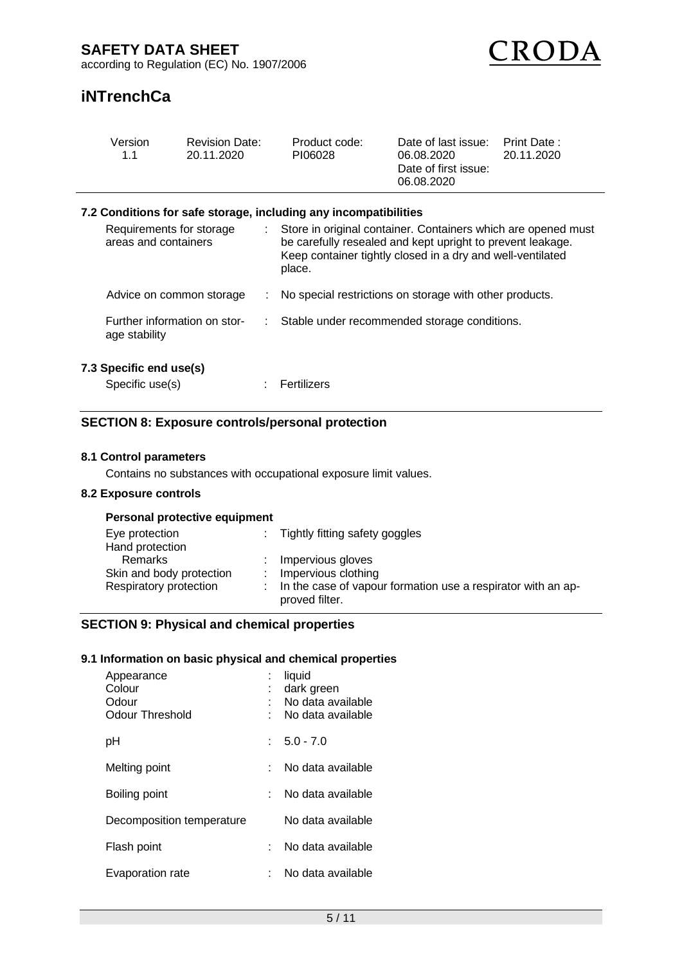

# **iNTrenchCa**

| Version<br>1.1                                   | <b>Revision Date:</b><br>20.11.2020 |                | Product code:<br>PI06028                                                                                                                                                                            | Date of last issue:<br>06.08.2020<br>Date of first issue:<br>06.08.2020 | Print Date:<br>20.11.2020 |
|--------------------------------------------------|-------------------------------------|----------------|-----------------------------------------------------------------------------------------------------------------------------------------------------------------------------------------------------|-------------------------------------------------------------------------|---------------------------|
|                                                  |                                     |                | 7.2 Conditions for safe storage, including any incompatibilities                                                                                                                                    |                                                                         |                           |
| Requirements for storage<br>areas and containers |                                     | $\mathbb{R}^n$ | Store in original container. Containers which are opened must<br>be carefully resealed and kept upright to prevent leakage.<br>Keep container tightly closed in a dry and well-ventilated<br>place. |                                                                         |                           |
| Advice on common storage                         |                                     |                | : No special restrictions on storage with other products.                                                                                                                                           |                                                                         |                           |
| Further information on stor-<br>age stability    |                                     |                | Stable under recommended storage conditions.                                                                                                                                                        |                                                                         |                           |
| 7.3 Specific end use(s)<br>Specific use(s)       |                                     |                | Fertilizers                                                                                                                                                                                         |                                                                         |                           |

# **SECTION 8: Exposure controls/personal protection**

#### **8.1 Control parameters**

Contains no substances with occupational exposure limit values.

#### **8.2 Exposure controls**

|  |  | Personal protective equipment |
|--|--|-------------------------------|
|--|--|-------------------------------|

| Eye protection<br>Hand protection                             | : Tightly fitting safety goggles                                                                                                 |
|---------------------------------------------------------------|----------------------------------------------------------------------------------------------------------------------------------|
| Remarks<br>Skin and body protection<br>Respiratory protection | : Impervious gloves<br>: Impervious clothing<br>: In the case of vapour formation use a respirator with an ap-<br>proved filter. |

# **SECTION 9: Physical and chemical properties**

### **9.1 Information on basic physical and chemical properties**

| Appearance<br>Colour<br>Odour<br>Odour Threshold | liquid<br>dark green<br>No data available<br>No data available |
|--------------------------------------------------|----------------------------------------------------------------|
| рH                                               | $5.0 - 7.0$                                                    |
| Melting point                                    | No data available                                              |
| Boiling point                                    | No data available                                              |
| Decomposition temperature                        | No data available                                              |
| Flash point                                      | No data available                                              |
| Evaporation rate                                 | No data available                                              |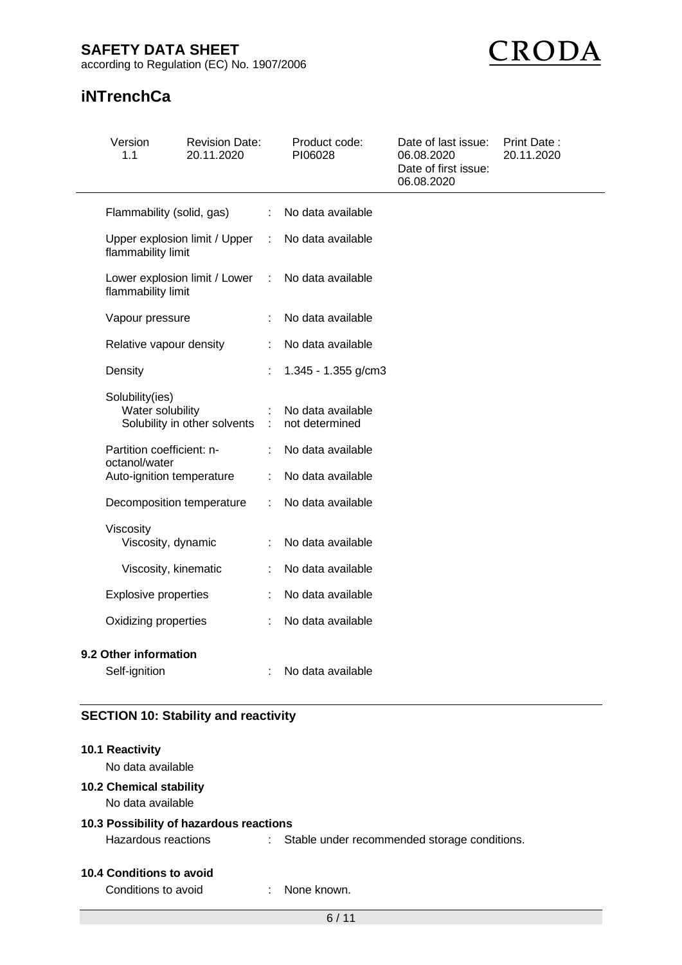# **SAFETY DATA SHEET**

according to Regulation (EC) No. 1907/2006



# **iNTrenchCa**

| Version<br>1.1                                      | <b>Revision Date:</b><br>20.11.2020 |   | Product code:<br>PI06028            | Date of last issue:<br>06.08.2020<br>Date of first issue:<br>06.08.2020 | Print Date:<br>20.11.2020 |
|-----------------------------------------------------|-------------------------------------|---|-------------------------------------|-------------------------------------------------------------------------|---------------------------|
| Flammability (solid, gas)                           |                                     | ÷ | No data available                   |                                                                         |                           |
| Upper explosion limit / Upper<br>flammability limit |                                     | ÷ | No data available                   |                                                                         |                           |
| Lower explosion limit / Lower<br>flammability limit |                                     |   | No data available                   |                                                                         |                           |
| Vapour pressure                                     |                                     |   | No data available                   |                                                                         |                           |
| Relative vapour density                             |                                     | ÷ | No data available                   |                                                                         |                           |
| Density                                             |                                     |   | 1.345 - 1.355 g/cm3                 |                                                                         |                           |
| Solubility(ies)<br>Water solubility                 | Solubility in other solvents        |   | No data available<br>not determined |                                                                         |                           |
| Partition coefficient: n-<br>octanol/water          |                                     |   | No data available                   |                                                                         |                           |
| Auto-ignition temperature                           |                                     | ÷ | No data available                   |                                                                         |                           |
| Decomposition temperature                           |                                     | ÷ | No data available                   |                                                                         |                           |
| Viscosity<br>Viscosity, dynamic                     |                                     |   | No data available                   |                                                                         |                           |
| Viscosity, kinematic                                |                                     |   | No data available                   |                                                                         |                           |
| <b>Explosive properties</b>                         |                                     |   | No data available                   |                                                                         |                           |
| Oxidizing properties                                |                                     |   | No data available                   |                                                                         |                           |
| 9.2 Other information<br>Self-ignition              |                                     |   | No data available                   |                                                                         |                           |

# **SECTION 10: Stability and reactivity**

| 10.1 Reactivity<br>No data available                |                                                |
|-----------------------------------------------------|------------------------------------------------|
| <b>10.2 Chemical stability</b><br>No data available |                                                |
| 10.3 Possibility of hazardous reactions             |                                                |
| Hazardous reactions                                 | : Stable under recommended storage conditions. |
| 10.4 Conditions to avoid<br>Conditions to avoid     | None known                                     |
|                                                     |                                                |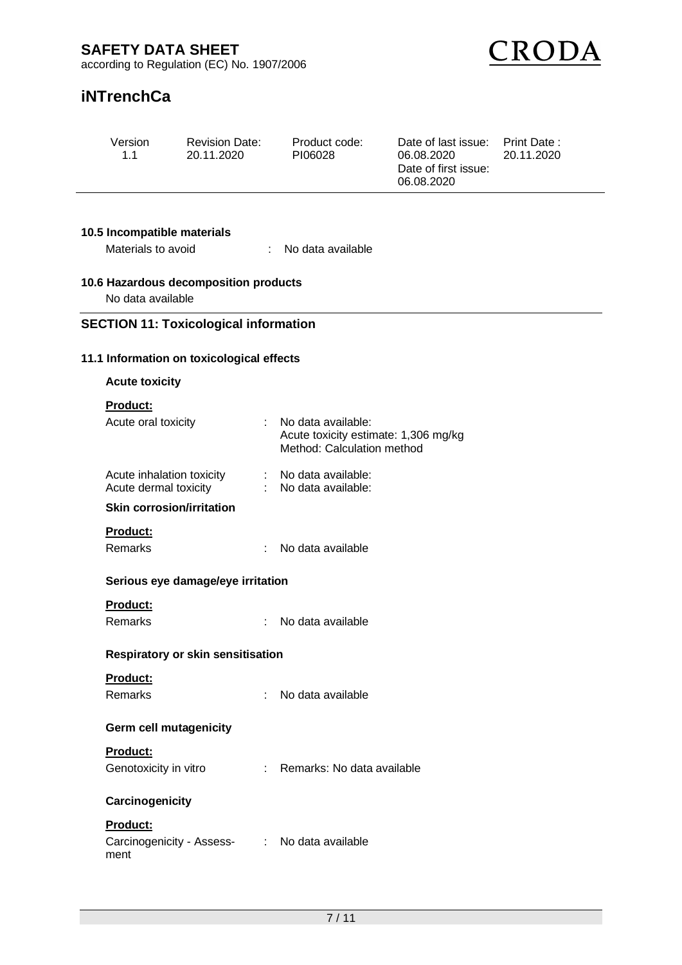

# **iNTrenchCa**

| Version<br>1.1                                     | <b>Revision Date:</b><br>20.11.2020          |    | Product code:<br>PI06028                                                                 | Date of last issue:<br>06.08.2020<br>Date of first issue:<br>06.08.2020 | Print Date:<br>20.11.2020 |
|----------------------------------------------------|----------------------------------------------|----|------------------------------------------------------------------------------------------|-------------------------------------------------------------------------|---------------------------|
| 10.5 Incompatible materials                        |                                              |    |                                                                                          |                                                                         |                           |
| Materials to avoid                                 |                                              | ÷. | No data available                                                                        |                                                                         |                           |
| No data available                                  | 10.6 Hazardous decomposition products        |    |                                                                                          |                                                                         |                           |
|                                                    | <b>SECTION 11: Toxicological information</b> |    |                                                                                          |                                                                         |                           |
|                                                    | 11.1 Information on toxicological effects    |    |                                                                                          |                                                                         |                           |
| <b>Acute toxicity</b>                              |                                              |    |                                                                                          |                                                                         |                           |
| Product:                                           |                                              |    |                                                                                          |                                                                         |                           |
| Acute oral toxicity                                |                                              |    | No data available:<br>Acute toxicity estimate: 1,306 mg/kg<br>Method: Calculation method |                                                                         |                           |
| Acute inhalation toxicity<br>Acute dermal toxicity |                                              |    | No data available:<br>No data available:                                                 |                                                                         |                           |
| <b>Skin corrosion/irritation</b>                   |                                              |    |                                                                                          |                                                                         |                           |
| Product:                                           |                                              |    |                                                                                          |                                                                         |                           |
| Remarks                                            |                                              |    | No data available                                                                        |                                                                         |                           |
|                                                    | Serious eye damage/eye irritation            |    |                                                                                          |                                                                         |                           |
| Product:                                           |                                              |    |                                                                                          |                                                                         |                           |
| Remarks                                            | ÷                                            |    | No data available                                                                        |                                                                         |                           |
|                                                    | <b>Respiratory or skin sensitisation</b>     |    |                                                                                          |                                                                         |                           |
| Product:                                           |                                              |    |                                                                                          |                                                                         |                           |
| <b>Remarks</b>                                     | ÷                                            |    | No data available                                                                        |                                                                         |                           |
| <b>Germ cell mutagenicity</b>                      |                                              |    |                                                                                          |                                                                         |                           |
| Product:<br>Genotoxicity in vitro                  |                                              |    | : Remarks: No data available                                                             |                                                                         |                           |
| Carcinogenicity                                    |                                              |    |                                                                                          |                                                                         |                           |
| Product:<br>ment                                   |                                              |    | Carcinogenicity - Assess- : No data available                                            |                                                                         |                           |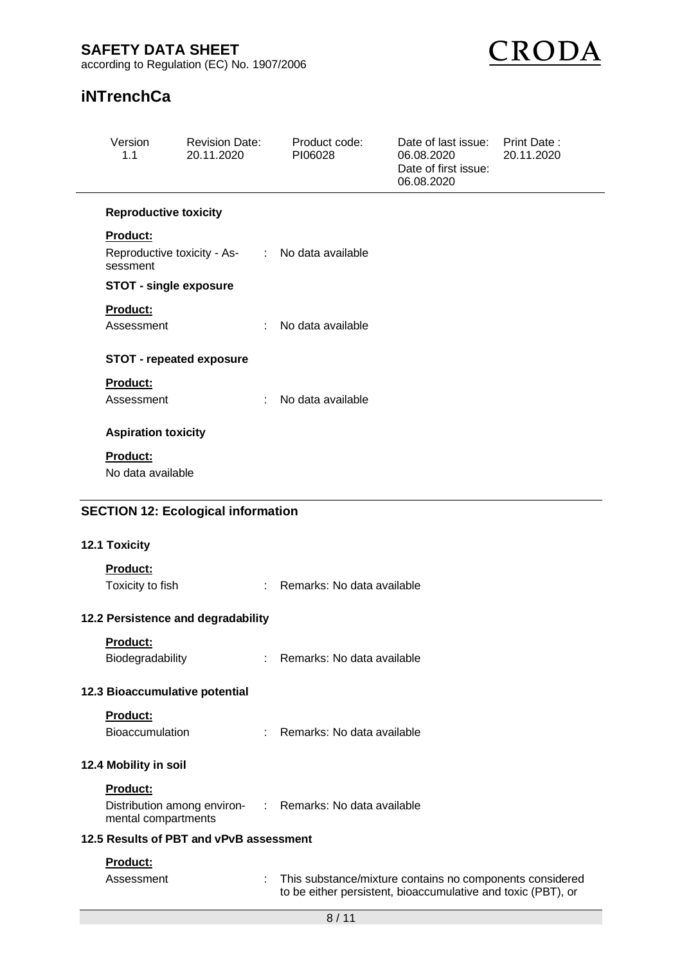# **SAFETY DATA SHEET**

according to Regulation (EC) No. 1907/2006



# **iNTrenchCa**

|                                         | Version<br>1.1                                                 | <b>Revision Date:</b><br>20.11.2020 | Product code:<br>PI06028                                                                                                 | Date of last issue:<br>06.08.2020<br>Date of first issue:<br>06.08.2020 | Print Date:<br>20.11.2020 |  |  |  |
|-----------------------------------------|----------------------------------------------------------------|-------------------------------------|--------------------------------------------------------------------------------------------------------------------------|-------------------------------------------------------------------------|---------------------------|--|--|--|
|                                         | <b>Reproductive toxicity</b>                                   |                                     |                                                                                                                          |                                                                         |                           |  |  |  |
|                                         | <b>Product:</b>                                                |                                     |                                                                                                                          |                                                                         |                           |  |  |  |
|                                         | sessment                                                       |                                     | Reproductive toxicity - As- : No data available                                                                          |                                                                         |                           |  |  |  |
|                                         | <b>STOT - single exposure</b>                                  |                                     |                                                                                                                          |                                                                         |                           |  |  |  |
|                                         | Product:                                                       |                                     |                                                                                                                          |                                                                         |                           |  |  |  |
|                                         | Assessment                                                     | ÷.                                  | No data available                                                                                                        |                                                                         |                           |  |  |  |
|                                         | <b>STOT - repeated exposure</b>                                |                                     |                                                                                                                          |                                                                         |                           |  |  |  |
|                                         | Product:                                                       |                                     |                                                                                                                          |                                                                         |                           |  |  |  |
|                                         | Assessment                                                     |                                     | No data available                                                                                                        |                                                                         |                           |  |  |  |
|                                         | <b>Aspiration toxicity</b>                                     |                                     |                                                                                                                          |                                                                         |                           |  |  |  |
|                                         | <b>Product:</b>                                                |                                     |                                                                                                                          |                                                                         |                           |  |  |  |
|                                         | No data available                                              |                                     |                                                                                                                          |                                                                         |                           |  |  |  |
|                                         | <b>SECTION 12: Ecological information</b>                      |                                     |                                                                                                                          |                                                                         |                           |  |  |  |
|                                         |                                                                |                                     |                                                                                                                          |                                                                         |                           |  |  |  |
|                                         | 12.1 Toxicity                                                  |                                     |                                                                                                                          |                                                                         |                           |  |  |  |
|                                         | Product:                                                       |                                     |                                                                                                                          |                                                                         |                           |  |  |  |
|                                         | Toxicity to fish                                               | ÷                                   | Remarks: No data available                                                                                               |                                                                         |                           |  |  |  |
|                                         | 12.2 Persistence and degradability                             |                                     |                                                                                                                          |                                                                         |                           |  |  |  |
|                                         | Product:                                                       |                                     |                                                                                                                          |                                                                         |                           |  |  |  |
|                                         | Biodegradability                                               |                                     | Remarks: No data available                                                                                               |                                                                         |                           |  |  |  |
|                                         | 12.3 Bioaccumulative potential                                 |                                     |                                                                                                                          |                                                                         |                           |  |  |  |
|                                         | Product:                                                       |                                     |                                                                                                                          |                                                                         |                           |  |  |  |
|                                         | Bioaccumulation                                                | ÷.                                  | Remarks: No data available                                                                                               |                                                                         |                           |  |  |  |
| 12.4 Mobility in soil                   |                                                                |                                     |                                                                                                                          |                                                                         |                           |  |  |  |
|                                         | Product:<br>Distribution among environ-<br>mental compartments |                                     | : Remarks: No data available                                                                                             |                                                                         |                           |  |  |  |
| 12.5 Results of PBT and vPvB assessment |                                                                |                                     |                                                                                                                          |                                                                         |                           |  |  |  |
| Product:                                |                                                                |                                     |                                                                                                                          |                                                                         |                           |  |  |  |
|                                         | Assessment                                                     |                                     | This substance/mixture contains no components considered<br>to be either persistent, bioaccumulative and toxic (PBT), or |                                                                         |                           |  |  |  |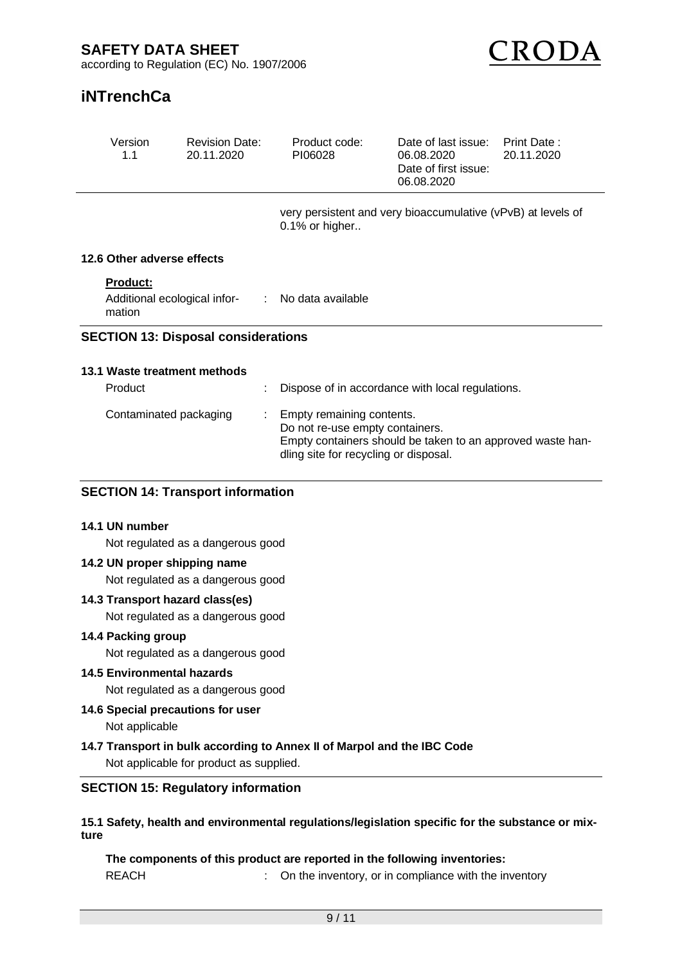

# **iNTrenchCa**

| Version<br>1.1                             | <b>Revision Date:</b><br>20.11.2020                                            |  | Product code:<br>PI06028                                                                              | Date of last issue:<br>06.08.2020<br>Date of first issue:<br>06.08.2020 | Print Date:<br>20.11.2020 |  |
|--------------------------------------------|--------------------------------------------------------------------------------|--|-------------------------------------------------------------------------------------------------------|-------------------------------------------------------------------------|---------------------------|--|
|                                            | very persistent and very bioaccumulative (vPvB) at levels of<br>0.1% or higher |  |                                                                                                       |                                                                         |                           |  |
| 12.6 Other adverse effects                 |                                                                                |  |                                                                                                       |                                                                         |                           |  |
| <b>Product:</b><br>mation                  | Additional ecological infor-<br>t.                                             |  | No data available                                                                                     |                                                                         |                           |  |
| <b>SECTION 13: Disposal considerations</b> |                                                                                |  |                                                                                                       |                                                                         |                           |  |
| 13.1 Waste treatment methods               |                                                                                |  |                                                                                                       |                                                                         |                           |  |
| Product                                    | t                                                                              |  | Dispose of in accordance with local regulations.                                                      |                                                                         |                           |  |
| Contaminated packaging                     |                                                                                |  | Empty remaining contents.<br>Do not re-use empty containers.<br>dling site for recycling or disposal. | Empty containers should be taken to an approved waste han-              |                           |  |

### **SECTION 14: Transport information**

#### **14.1 UN number**

Not regulated as a dangerous good

#### **14.2 UN proper shipping name**

Not regulated as a dangerous good

### **14.3 Transport hazard class(es)**

Not regulated as a dangerous good

#### **14.4 Packing group**

Not regulated as a dangerous good

#### **14.5 Environmental hazards**

Not regulated as a dangerous good

**14.6 Special precautions for user**

Not applicable

## **14.7 Transport in bulk according to Annex II of Marpol and the IBC Code**

Not applicable for product as supplied.

#### **SECTION 15: Regulatory information**

#### **15.1 Safety, health and environmental regulations/legislation specific for the substance or mixture**

# **The components of this product are reported in the following inventories:**

REACH : On the inventory, or in compliance with the inventory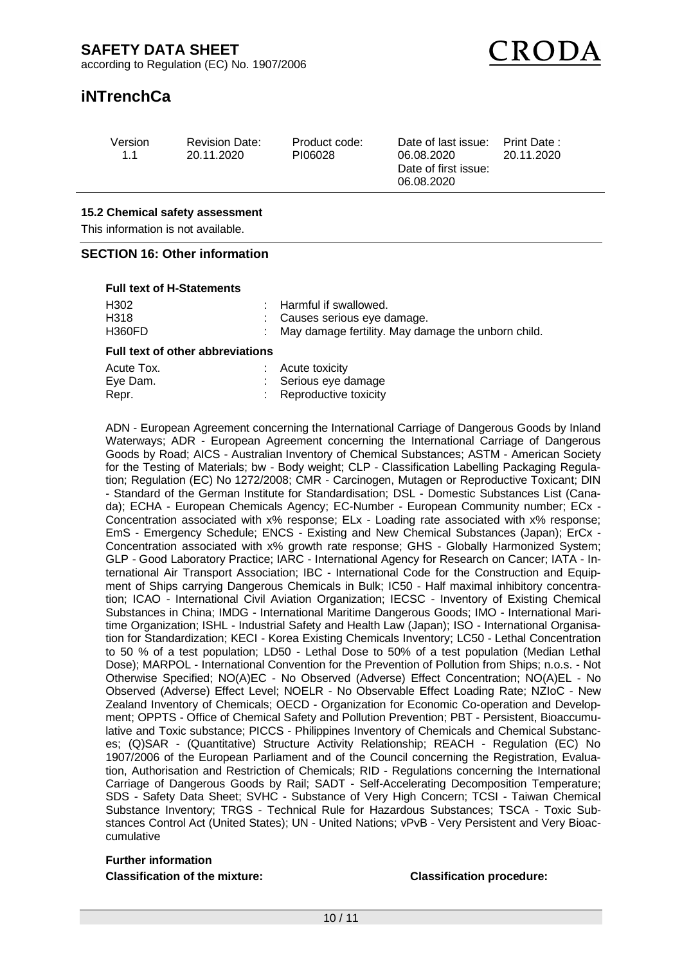

# **iNTrenchCa**

| Version | <b>Revision Date:</b> | Product code: | Date of last issue:  | Print Date : |
|---------|-----------------------|---------------|----------------------|--------------|
| 11      | 20.11.2020            | PI06028       | 06.08.2020           | 20.11.2020   |
|         |                       |               | Date of first issue: |              |

06.08.2020

#### **15.2 Chemical safety assessment**

This information is not available.

#### **SECTION 16: Other information**

#### **Full text of H-Statements**

| H302                                    |  | : Harmful if swallowed.                            |  |  |  |
|-----------------------------------------|--|----------------------------------------------------|--|--|--|
| H318                                    |  | : Causes serious eye damage.                       |  |  |  |
| <b>H360FD</b>                           |  | May damage fertility. May damage the unborn child. |  |  |  |
| <b>Full text of other abbreviations</b> |  |                                                    |  |  |  |
| Acute Tox.                              |  | : Acute toxicity                                   |  |  |  |
| Eye Dam.                                |  | : Serious eye damage                               |  |  |  |
| Repr.                                   |  | : Reproductive toxicity                            |  |  |  |

ADN - European Agreement concerning the International Carriage of Dangerous Goods by Inland Waterways; ADR - European Agreement concerning the International Carriage of Dangerous Goods by Road; AICS - Australian Inventory of Chemical Substances; ASTM - American Society for the Testing of Materials; bw - Body weight; CLP - Classification Labelling Packaging Regulation; Regulation (EC) No 1272/2008; CMR - Carcinogen, Mutagen or Reproductive Toxicant; DIN - Standard of the German Institute for Standardisation; DSL - Domestic Substances List (Canada); ECHA - European Chemicals Agency; EC-Number - European Community number; ECx - Concentration associated with x% response; ELx - Loading rate associated with x% response; EmS - Emergency Schedule; ENCS - Existing and New Chemical Substances (Japan); ErCx - Concentration associated with x% growth rate response; GHS - Globally Harmonized System; GLP - Good Laboratory Practice; IARC - International Agency for Research on Cancer; IATA - International Air Transport Association; IBC - International Code for the Construction and Equipment of Ships carrying Dangerous Chemicals in Bulk; IC50 - Half maximal inhibitory concentration; ICAO - International Civil Aviation Organization; IECSC - Inventory of Existing Chemical Substances in China; IMDG - International Maritime Dangerous Goods; IMO - International Maritime Organization; ISHL - Industrial Safety and Health Law (Japan); ISO - International Organisation for Standardization; KECI - Korea Existing Chemicals Inventory; LC50 - Lethal Concentration to 50 % of a test population; LD50 - Lethal Dose to 50% of a test population (Median Lethal Dose); MARPOL - International Convention for the Prevention of Pollution from Ships; n.o.s. - Not Otherwise Specified; NO(A)EC - No Observed (Adverse) Effect Concentration; NO(A)EL - No Observed (Adverse) Effect Level; NOELR - No Observable Effect Loading Rate; NZIoC - New Zealand Inventory of Chemicals; OECD - Organization for Economic Co-operation and Development; OPPTS - Office of Chemical Safety and Pollution Prevention; PBT - Persistent, Bioaccumulative and Toxic substance; PICCS - Philippines Inventory of Chemicals and Chemical Substances; (Q)SAR - (Quantitative) Structure Activity Relationship; REACH - Regulation (EC) No 1907/2006 of the European Parliament and of the Council concerning the Registration, Evaluation, Authorisation and Restriction of Chemicals; RID - Regulations concerning the International Carriage of Dangerous Goods by Rail; SADT - Self-Accelerating Decomposition Temperature; SDS - Safety Data Sheet; SVHC - Substance of Very High Concern; TCSI - Taiwan Chemical Substance Inventory; TRGS - Technical Rule for Hazardous Substances; TSCA - Toxic Substances Control Act (United States); UN - United Nations; vPvB - Very Persistent and Very Bioaccumulative

#### **Further information**

**Classification of the mixture: Classification procedure:**